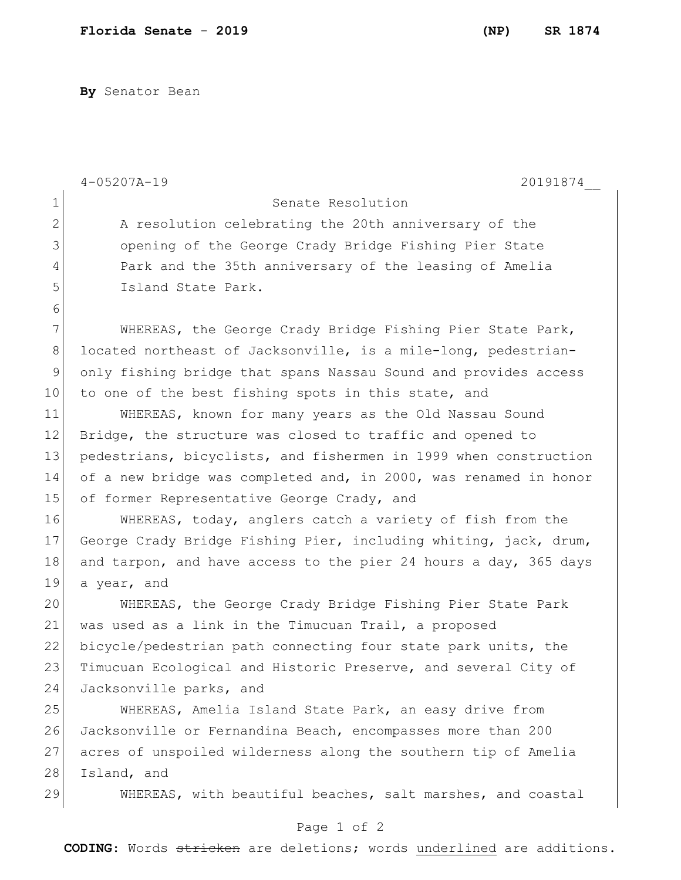**By** Senator Bean

|                | $4 - 05207A - 19$<br>20191874                                    |
|----------------|------------------------------------------------------------------|
| $\mathbf 1$    | Senate Resolution                                                |
| $\overline{2}$ | A resolution celebrating the 20th anniversary of the             |
| 3              | opening of the George Crady Bridge Fishing Pier State            |
| 4              | Park and the 35th anniversary of the leasing of Amelia           |
| 5              | Island State Park.                                               |
| 6              |                                                                  |
| 7              | WHEREAS, the George Crady Bridge Fishing Pier State Park,        |
| 8              | located northeast of Jacksonville, is a mile-long, pedestrian-   |
| $\mathsf 9$    | only fishing bridge that spans Nassau Sound and provides access  |
| $10 \,$        | to one of the best fishing spots in this state, and              |
| 11             | WHEREAS, known for many years as the Old Nassau Sound            |
| 12             | Bridge, the structure was closed to traffic and opened to        |
| 13             | pedestrians, bicyclists, and fishermen in 1999 when construction |
| 14             | of a new bridge was completed and, in 2000, was renamed in honor |
| 15             | of former Representative George Crady, and                       |
| 16             | WHEREAS, today, anglers catch a variety of fish from the         |
| 17             | George Crady Bridge Fishing Pier, including whiting, jack, drum, |
| 18             | and tarpon, and have access to the pier 24 hours a day, 365 days |
| 19             | a year, and                                                      |
| 20             | WHEREAS, the George Crady Bridge Fishing Pier State Park         |
| 21             | was used as a link in the Timucuan Trail, a proposed             |
| 22             | bicycle/pedestrian path connecting four state park units, the    |
| 23             | Timucuan Ecological and Historic Preserve, and several City of   |
| 24             | Jacksonville parks, and                                          |
| 25             | WHEREAS, Amelia Island State Park, an easy drive from            |
| 26             | Jacksonville or Fernandina Beach, encompasses more than 200      |
| 27             | acres of unspoiled wilderness along the southern tip of Amelia   |
| 28             | Island, and                                                      |
| 29             | WHEREAS, with beautiful beaches, salt marshes, and coastal       |

## Page 1 of 2

**CODING**: Words stricken are deletions; words underlined are additions.